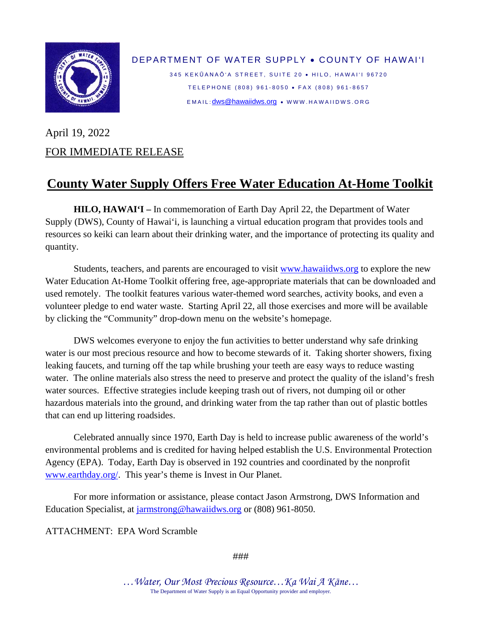

DEPARTMENT OF WATER SUPPLY • COUNTY OF HAWAI'I 345 KEKŪANAŌ'A STREET, SUITE 20 · HILO, HAWAI'I 96720 TELEPHONE (808) 961-8050 • FAX (808) 961-8657

EMAIL: [dws@hawaiidws.org](mailto:dws@hawaiidws.org) • WWW.HAWAIIDWS .ORG

## April 19, 2022 FOR IMMEDIATE RELEASE

## **County Water Supply Offers Free Water Education At-Home Toolkit**

**HILO, HAWAI'I –** In commemoration of Earth Day April 22, the Department of Water Supply (DWS), County of Hawai'i, is launching a virtual education program that provides tools and resources so keiki can learn about their drinking water, and the importance of protecting its quality and quantity.

Students, teachers, and parents are encouraged to visit [www.hawaiidws.org](http://www.hawaiidws.org/) to explore the new Water Education At-Home Toolkit offering free, age-appropriate materials that can be downloaded and used remotely. The toolkit features various water-themed word searches, activity books, and even a volunteer pledge to end water waste. Starting April 22, all those exercises and more will be available by clicking the "Community" drop-down menu on the website's homepage.

DWS welcomes everyone to enjoy the fun activities to better understand why safe drinking water is our most precious resource and how to become stewards of it. Taking shorter showers, fixing leaking faucets, and turning off the tap while brushing your teeth are easy ways to reduce wasting water. The online materials also stress the need to preserve and protect the quality of the island's fresh water sources. Effective strategies include keeping trash out of rivers, not dumping oil or other hazardous materials into the ground, and drinking water from the tap rather than out of plastic bottles that can end up littering roadsides.

Celebrated annually since 1970, Earth Day is held to increase public awareness of the world's environmental problems and is credited for having helped establish the U.S. Environmental Protection Agency (EPA). Today, Earth Day is observed in 192 countries and coordinated by the nonprofit [www.earthday.org/.](http://www.earthday.org/) This year's theme is Invest in Our Planet.

For more information or assistance, please contact Jason Armstrong, DWS Information and Education Specialist, at [jarmstrong@hawaiidws.org](mailto:jarmstrong@hawaiidws.org) or (808) 961-8050.

ATTACHMENT: EPA Word Scramble

###

*…Water, Our Most Precious Resource…Ka Wai A Kāne…* The Department of Water Supply is an Equal Opportunity provider and employer.